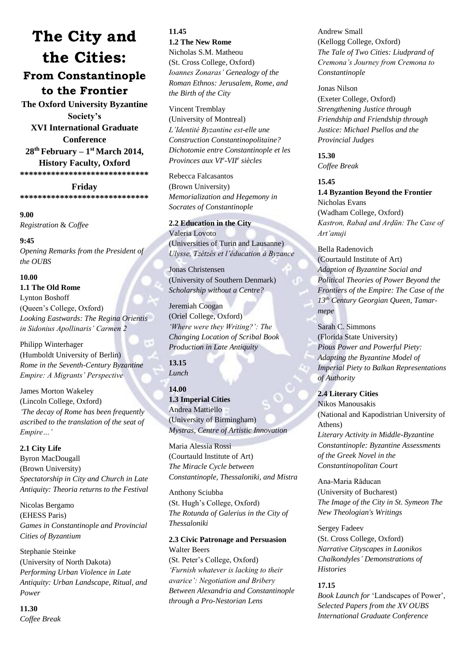# **The City and the Cities: From Constantinople to the Frontier**

**The Oxford University Byzantine Society's XVI International Graduate Conference 28th February – 1 st March 2014, History Faculty, Oxford \*\*\*\*\*\*\*\*\*\*\*\*\*\*\*\*\*\*\*\*\*\*\*\*\*\*\*\*\***

**Friday \*\*\*\*\*\*\*\*\*\*\*\*\*\*\*\*\*\*\*\*\*\*\*\*\*\*\*\*\***

#### **9.00** *Registration* & *Coffee*

**9:45** *Opening Remarks from the President of the OUBS*

#### **10.00**

**1.1 The Old Rome** Lynton Boshoff (Queen's College, Oxford) *Looking Eastwards: The Regina Orientis in Sidonius Apollinaris' Carmen 2*

Philipp Winterhager (Humboldt University of Berlin) *Rome in the Seventh-Century Byzantine Empire: A Migrants' Perspective*

James Morton Wakeley (Lincoln College, Oxford) *'The decay of Rome has been frequently ascribed to the translation of the seat of Empire…'*

**2.1 City Life** Byron MacDougall (Brown University) *Spectatorship in City and Church in Late Antiquity: Theoria returns to the Festival*

Nicolas Bergamo (EHESS Paris) *Games in Constantinople and Provincial Cities of Byzantium*

Stephanie Steinke (University of North Dakota) *Performing Urban Violence in Late Antiquity: Urban Landscape, Ritual, and Power*

## **11.30**

*Coffee Break*

**11.45 1.2 The New Rome** Nicholas S.M. Matheou (St. Cross College, Oxford) *Ioannes Zonaras' Genealogy of the Roman Ethnos: Jerusalem, Rome, and the Birth of the City*

Vincent Tremblay (University of Montreal) *L'Identité Byzantine est-elle une Construction Constantinopolitaine? Dichotomie entre Constantinople et les Provinces aux VI<sup>e</sup> -VII<sup>e</sup> siècles*

Rebecca Falcasantos (Brown University) *Memorialization and Hegemony in Socrates of Constantinople*

**2.2 Education in the City** Valeria Lovoto (Universities of Turin and Lausanne) *Ulysse, Tzétzès et l'éducation à Byzance*

Jonas Christensen (University of Southern Denmark) *Scholarship without a Centre?*

Jeremiah Coogan (Oriel College, Oxford) *'Where were they Writing?': The Changing Location of Scribal Book Production in Late Antiquity*

**13.15** *Lunch*

**14.00 1.3 Imperial Cities** Andrea Mattiello (University of Birmingham) *Mystras, Centre of Artistic Innovation*

Maria Alessia Rossi (Courtauld Institute of Art) *The Miracle Cycle between Constantinople, Thessaloniki, and Mistra*

Anthony Sciubba

(St. Hugh's College, Oxford) *The Rotunda of Galerius in the City of Thessaloniki*

**2.3 Civic Patronage and Persuasion** Walter Beers (St. Peter's College, Oxford) *'Furnish whatever is lacking to their avarice': Negotiation and Bribery Between Alexandria and Constantinople through a Pro-Nestorian Lens*

Andrew Small (Kellogg College, Oxford) *The Tale of Two Cities: Liudprand of Cremona's Journey from Cremona to Constantinople*

Jonas Nilson (Exeter College, Oxford) *Strengthening Justice through Friendship and Friendship through Justice: Michael Psellos and the Provincial Judges*

**15.30** *Coffee Break*

### **15.45**

**1.4 Byzantion Beyond the Frontier** Nicholas Evans (Wadham College, Oxford) *Kastron, Rabaḍ and Arḍūn: The Case of Art'anuji*

Bella Radenovich (Courtauld Institute of Art) *Adaption of Byzantine Social and Political Theories of Power Beyond the Frontiers of the Empire: The Case of the 13th Century Georgian Queen, Tamarmepe*

Sarah C. Simmons (Florida State University) *Pious Power and Powerful Piety: Adapting the Byzantine Model of Imperial Piety to Balkan Representations of Authority*

**2.4 Literary Cities** Nikos Manousakis (National and Kapodistrian University of Athens) *Literary Activity in Middle-Byzantine Constantinople: Byzantine Assessments of the Greek Novel in the Constantinopolitan Court*

Ana-Maria Răducan (University of Bucharest)

*The Image of the City in St. Symeon The New Theologian's Writings*

Sergey Fadeev (St. Cross College, Oxford) *Narrative Cityscapes in Laonikos Chalkondyles' Demonstrations of Histories*

#### **17.15**

*Book Launch for* 'Landscapes of Power'*, Selected Papers from the XV OUBS International Graduate Conference*